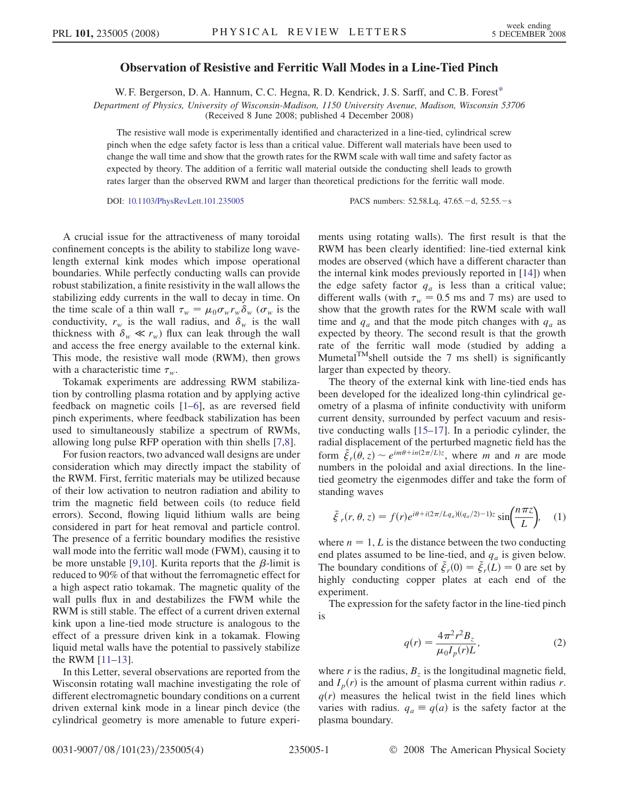## Observation of Resistive and Ferritic Wall Modes in a Line-Tied Pinch

W. F. Bergerson, D. A. Hannum, C. C. Hegna, R. D. Kendrick, J. S. Sarff, and C. B. Forest<sup>[\\*](#page-3-0)</sup>

Department of Physics, University of Wisconsin-Madison, 1150 University Avenue, Madison, Wisconsin 53706

(Received 8 June 2008; published 4 December 2008)

The resistive wall mode is experimentally identified and characterized in a line-tied, cylindrical screw pinch when the edge safety factor is less than a critical value. Different wall materials have been used to change the wall time and show that the growth rates for the RWM scale with wall time and safety factor as expected by theory. The addition of a ferritic wall material outside the conducting shell leads to growth rates larger than the observed RWM and larger than theoretical predictions for the ferritic wall mode.

DOI: [10.1103/PhysRevLett.101.235005](http://dx.doi.org/10.1103/PhysRevLett.101.235005) PACS numbers: 52.58.Lq, 47.65. -d, 52.55. -s

A crucial issue for the attractiveness of many toroidal confinement concepts is the ability to stabilize long wavelength external kink modes which impose operational boundaries. While perfectly conducting walls can provide robust stabilization, a finite resistivity in the wall allows the stabilizing eddy currents in the wall to decay in time. On the time scale of a thin wall  $\tau_w = \mu_0 \sigma_w r_w \delta_w (\sigma_w$  is the scale scale wall radius and  $\delta$  is the wall conductivity,  $r_w$  is the wall radius, and  $\delta_w$  is the wall thickness with  $\delta_w \ll r_w$ ) flux can leak through the wall and access the free energy available to the external kink. This mode, the resistive wall mode (RWM), then grows with a characteristic time  $\tau_w$ .

Tokamak experiments are addressing RWM stabilization by controlling plasma rotation and by applying active feedback on magnetic coils [1–6], as are reversed field pinch experiments, where feedback stabilization has been used to simultaneously stabilize a spectrum of RWMs, allowing long pulse RFP operation with thin shells [7,8].

For fusion reactors, two advanced wall designs are under consideration which may directly impact the stability of the RWM. First, ferritic materials may be utilized because of their low activation to neutron radiation and ability to trim the magnetic field between coils (to reduce field errors). Second, flowing liquid lithium walls are being considered in part for heat removal and particle control. The presence of a ferritic boundary modifies the resistive wall mode into the ferritic wall mode (FWM), causing it to be more unstable [9,10]. Kurita reports that the  $\beta$ -limit is reduced to 90% of that without the ferromagnetic effect for a high aspect ratio tokamak. The magnetic quality of the wall pulls flux in and destabilizes the FWM while the RWM is still stable. The effect of a current driven external kink upon a line-tied mode structure is analogous to the effect of a pressure driven kink in a tokamak. Flowing liquid metal walls have the potential to passively stabilize the RWM [11–13].

In this Letter, several observations are reported from the Wisconsin rotating wall machine investigating the role of different electromagnetic boundary conditions on a current driven external kink mode in a linear pinch device (the cylindrical geometry is more amenable to future experiments using rotating walls). The first result is that the RWM has been clearly identified: line-tied external kink modes are observed (which have a different character than the internal kink modes previously reported in [14]) when the edge safety factor  $q_a$  is less than a critical value; different walls (with  $\tau_w = 0.5$  ms and 7 ms) are used to show that the growth rates for the RWM scale with wall time and  $q_a$  and that the mode pitch changes with  $q_a$  as expected by theory. The second result is that the growth rate of the ferritic wall mode (studied by adding a Mumetal $T^{M}$ shell outside the 7 ms shell) is significantly larger than expected by theory.

The theory of the external kink with line-tied ends has been developed for the idealized long-thin cylindrical geometry of a plasma of infinite conductivity with uniform current density, surrounded by perfect vacuum and resistive conducting walls [15–17]. In a periodic cylinder, the radial displacement of the perturbed magnetic field has the form  $\tilde{\xi}_r(\theta, z) \sim e^{im\theta + in(2\pi/L)z}$ , where m and n are mode numbers in the poloidal and axial directions. In the linetied geometry the eigenmodes differ and take the form of standing waves

<span id="page-0-0"></span>
$$
\tilde{\xi}_r(r,\theta,z) = f(r)e^{i\theta + i(2\pi/Lq_a)((q_a/2) - 1)z} \sin\left(\frac{n\pi z}{L}\right), \quad (1)
$$

where  $n = 1, L$  is the distance between the two conducting end plates assumed to be line-tied, and  $q_a$  is given below. The boundary conditions of  $\ddot{\xi}_r(0) = \ddot{\xi}_r(L) = 0$  are set by<br>highly conducting comper plates at each end of the highly conducting copper plates at each end of the experiment.

<span id="page-0-1"></span>The expression for the safety factor in the line-tied pinch is

$$
q(r) = \frac{4\pi^2 r^2 B_z}{\mu_0 I_p(r) L},
$$
 (2)

where r is the radius,  $B_z$  is the longitudinal magnetic field, and  $I_p(r)$  is the amount of plasma current within radius r.  $q(r)$  measures the helical twist in the field lines which varies with radius.  $q_a \equiv q(a)$  is the safety factor at the plasma boundary.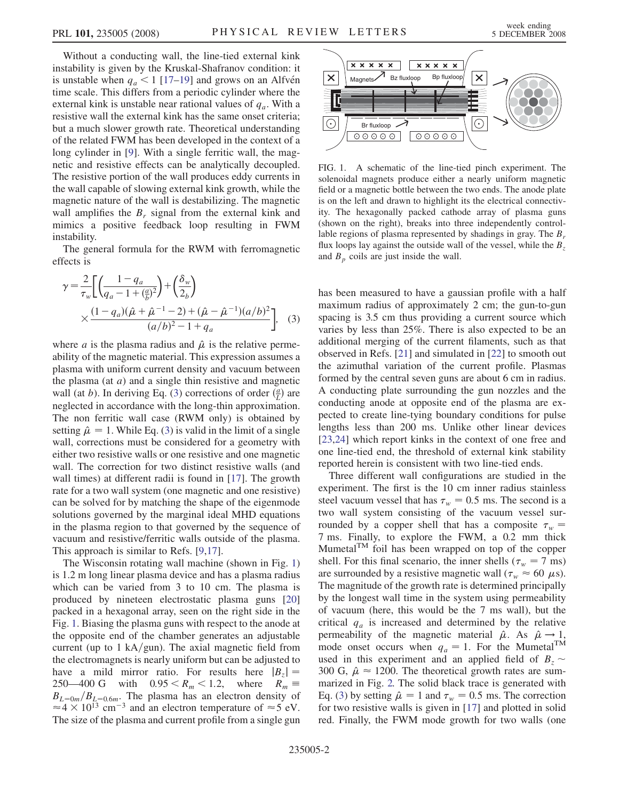Without a conducting wall, the line-tied external kink instability is given by the Kruskal-Shafranov condition: it is unstable when  $q_a < 1$  [17–19] and grows on an Alfvén time scale. This differs from a periodic cylinder where the external kink is unstable near rational values of  $q_a$ . With a resistive wall the external kink has the same onset criteria; but a much slower growth rate. Theoretical understanding of the related FWM has been developed in the context of a long cylinder in [9]. With a single ferritic wall, the magnetic and resistive effects can be analytically decoupled. The resistive portion of the wall produces eddy currents in the wall capable of slowing external kink growth, while the magnetic nature of the wall is destabilizing. The magnetic wall amplifies the  $B_r$  signal from the external kink and mimics a positive feedback loop resulting in FWM instability.

The general formula for the RWM with ferromagnetic effects is

<span id="page-1-0"></span>
$$
\gamma = \frac{2}{\tau_w} \left[ \left( \frac{1 - q_a}{q_a - 1 + \frac{a}{b^2}} \right) + \left( \frac{\delta_w}{2_b} \right) \times \frac{(1 - q_a)(\hat{\mu} + \hat{\mu}^{-1} - 2) + (\hat{\mu} - \hat{\mu}^{-1})(a/b)^2}{(a/b)^2 - 1 + q_a} \right], \quad (3)
$$

where *a* is the plasma radius and  $\hat{\mu}$  is the relative perme-<br>ability of the magnetic material. This expression assumes a ability of the magnetic material. This expression assumes a plasma with uniform current density and vacuum between the plasma (at  $a$ ) and a single thin resistive and magnetic wall (at *b*). In deriving Eq. ([3\)](#page-1-0) corrections of order  $\left(\frac{a}{L}\right)$  are neglected in accordance with the long-thin approximation. The non ferritic wall case (RWM only) is obtained by setting  $\hat{\mu} = 1$ . While Eq. ([3](#page-1-0)) is valid in the limit of a single wall corrections must be considered for a geometry with wall, corrections must be considered for a geometry with either two resistive walls or one resistive and one magnetic wall. The correction for two distinct resistive walls (and wall times) at different radii is found in [17]. The growth rate for a two wall system (one magnetic and one resistive) can be solved for by matching the shape of the eigenmode solutions governed by the marginal ideal MHD equations in the plasma region to that governed by the sequence of vacuum and resistive/ferritic walls outside of the plasma. This approach is similar to Refs. [9,17].

The Wisconsin rotating wall machine (shown in Fig. 1) is 1.2 m long linear plasma device and has a plasma radius which can be varied from 3 to 10 cm. The plasma is produced by nineteen electrostatic plasma guns [20] packed in a hexagonal array, seen on the right side in the Fig. 1. Biasing the plasma guns with respect to the anode at the opposite end of the chamber generates an adjustable current (up to 1 kA/gun). The axial magnetic field from the electromagnets is nearly uniform but can be adjusted to have a mild mirror ratio. For results here  $|B_z| = 250-400 \text{ G}$  with  $0.95 < R_m < 1.2$ , where  $R_m \equiv$ 250—400 G with  $0.95 \le R_m \le 1.2$ , where  $R_m \equiv R_{k_0} / R_{k_0}$ . The plasma has an electron density of  $B_{L=0m}/B_{L=0.6m}$ . The plasma has an electron density of  $\approx 4 \times 10^{13}$  cm<sup>-3</sup> and an electron temperature of  $\approx 5 \text{ eV}$  $\approx$  4  $\times$  10<sup>13</sup> cm<sup>-3</sup> and an electron temperature of  $\approx$  5 eV.<br>The size of the plasma and current profile from a single gun The size of the plasma and current profile from a single gun



FIG. 1. A schematic of the line-tied pinch experiment. The solenoidal magnets produce either a nearly uniform magnetic field or a magnetic bottle between the two ends. The anode plate is on the left and drawn to highlight its the electrical connectivity. The hexagonally packed cathode array of plasma guns (shown on the right), breaks into three independently controllable regions of plasma represented by shadings in gray. The  $B_r$ flux loops lay against the outside wall of the vessel, while the  $B_z$ and  $B_p$  coils are just inside the wall.

has been measured to have a gaussian profile with a half maximum radius of approximately 2 cm; the gun-to-gun spacing is 3.5 cm thus providing a current source which varies by less than 25%. There is also expected to be an additional merging of the current filaments, such as that observed in Refs. [21] and simulated in [22] to smooth out the azimuthal variation of the current profile. Plasmas formed by the central seven guns are about 6 cm in radius. A conducting plate surrounding the gun nozzles and the conducting anode at opposite end of the plasma are expected to create line-tying boundary conditions for pulse lengths less than 200 ms. Unlike other linear devices [23,24] which report kinks in the context of one free and one line-tied end, the threshold of external kink stability reported herein is consistent with two line-tied ends.

Three different wall configurations are studied in the experiment. The first is the 10 cm inner radius stainless steel vacuum vessel that has  $\tau_w = 0.5$  ms. The second is a two wall system consisting of the vacuum vessel surrounded by a copper shell that has a composite  $\tau_w$  = 7 ms. Finally, to explore the FWM, a 0.2 mm thick Mumetal $T^M$  foil has been wrapped on top of the copper shell. For this final scenario, the inner shells ( $\tau_w = 7$  ms) are surrounded by a resistive magnetic wall  $(\tau_w \approx 60 \mu s)$ .<br>The magnitude of the growth rate is determined principally The magnitude of the growth rate is determined principally by the longest wall time in the system using permeability of vacuum (here, this would be the 7 ms wall), but the critical  $q_a$  is increased and determined by the relative permeability of the magnetic material  $\hat{\mu}$ . As  $\hat{\mu} \to 1$ ,<br>mode onset occurs when  $a_{\text{min}} = 1$ . For the Mumetal<sup>TM</sup> mode onset occurs when  $q_a = 1$ . For the Mumetal<sup>TM</sup> used in this experiment and an applied field of  $B_z \sim$ 300 G,  $\hat{\mu} \approx 1200$ . The theoretical growth rates are sum-<br>marized in Fig. 2. The solid black trace is generated with marized in Fig. [2.](#page-2-0) The solid black trace is generated with Eq. [\(3\)](#page-1-0) by setting  $\hat{\mu} = 1$  and  $\tau_w = 0.5$  ms. The correction<br>for two resistive walls is given in [17] and plotted in solid for two resistive walls is given in [17] and plotted in solid red. Finally, the FWM mode growth for two walls (one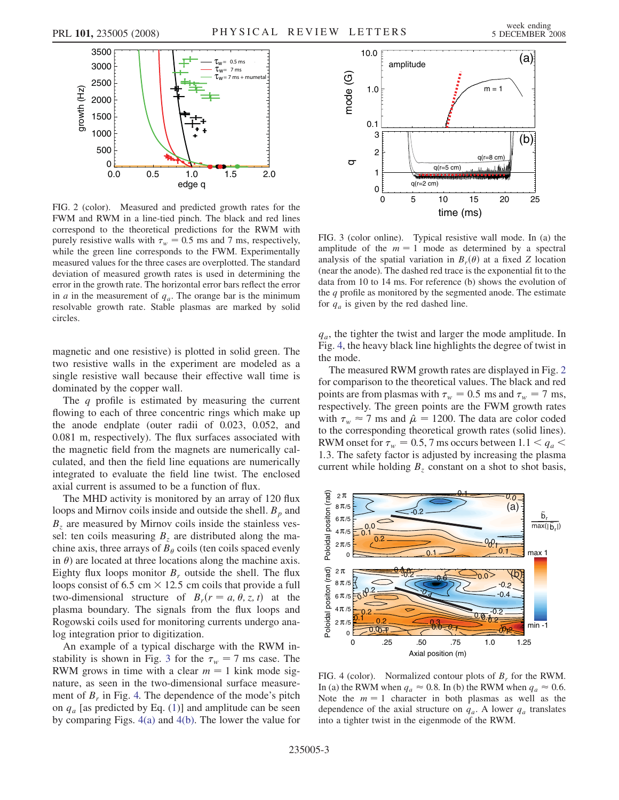<span id="page-2-0"></span>

FIG. 2 (color). Measured and predicted growth rates for the FWM and RWM in a line-tied pinch. The black and red lines correspond to the theoretical predictions for the RWM with purely resistive walls with  $\tau_w = 0.5$  ms and 7 ms, respectively, while the green line corresponds to the FWM. Experimentally measured values for the three cases are overplotted. The standard deviation of measured growth rates is used in determining the error in the growth rate. The horizontal error bars reflect the error in *a* in the measurement of  $q_a$ . The orange bar is the minimum resolvable growth rate. Stable plasmas are marked by solid circles.

magnetic and one resistive) is plotted in solid green. The two resistive walls in the experiment are modeled as a single resistive wall because their effective wall time is dominated by the copper wall.

The  $q$  profile is estimated by measuring the current flowing to each of three concentric rings which make up the anode endplate (outer radii of 0.023, 0.052, and 0.081 m, respectively). The flux surfaces associated with the magnetic field from the magnets are numerically calculated, and then the field line equations are numerically integrated to evaluate the field line twist. The enclosed axial current is assumed to be a function of flux.

The MHD activity is monitored by an array of 120 flux loops and Mirnov coils inside and outside the shell.  $B_p$  and  $B<sub>z</sub>$  are measured by Mirnov coils inside the stainless vessel: ten coils measuring  $B_z$  are distributed along the machine axis, three arrays of  $B_{\theta}$  coils (ten coils spaced evenly in  $\theta$ ) are located at three locations along the machine axis. Eighty flux loops monitor  $B_r$  outside the shell. The flux loops consist of 6.5 cm  $\times$  12.5 cm coils that provide a full two-dimensional structure of  $B_r(r = a, \theta, z, t)$  at the plasma boundary. The signals from the flux loops and Rogowski coils used for monitoring currents undergo analog integration prior to digitization.

An example of a typical discharge with the RWM instability is shown in Fig. 3 for the  $\tau_w = 7$  ms case. The RWM grows in time with a clear  $m = 1$  kink mode signature, as seen in the two-dimensional surface measurement of  $B_r$  in Fig. 4. The dependence of the mode's pitch on  $q_a$  [as predicted by Eq. ([1](#page-0-0))] and amplitude can be seen by comparing Figs. 4(a) and 4(b). The lower the value for



FIG. 3 (color online). Typical resistive wall mode. In (a) the amplitude of the  $m = 1$  mode as determined by a spectral analysis of the spatial variation in  $B_r(\theta)$  at a fixed Z location (near the anode). The dashed red trace is the exponential fit to the data from 10 to 14 ms. For reference (b) shows the evolution of the  $q$  profile as monitored by the segmented anode. The estimate for  $q_a$  is given by the red dashed line.

 $q_a$ , the tighter the twist and larger the mode amplitude. In Fig. 4, the heavy black line highlights the degree of twist in the mode.

The measured RWM growth rates are displayed in Fig. 2 for comparison to the theoretical values. The black and red points are from plasmas with  $\tau_w = 0.5$  ms and  $\tau_w = 7$  ms, respectively. The green points are the FWM growth rates with  $\tau_w \approx 7$  ms and  $\hat{\mu} = 1200$ . The data are color coded to the corresponding theoretical growth rates (solid lines) to the corresponding theoretical growth rates (solid lines). RWM onset for  $\tau_w = 0.5$ , 7 ms occurs between 1.1  $\leq q_a$   $\leq$ 1:3. The safety factor is adjusted by increasing the plasma current while holding  $B<sub>z</sub>$  constant on a shot to shot basis,



FIG. 4 (color). Normalized contour plots of  $B_r$  for the RWM. In (a) the RWM when  $q_a \approx 0.8$ . In (b) the RWM when  $q_a \approx 0.6$ . Note the  $m = 1$  character in both plasmas as well as the dependence of the axial structure on  $q_a$ . A lower  $q_a$  translates into a tighter twist in the eigenmode of the RWM.